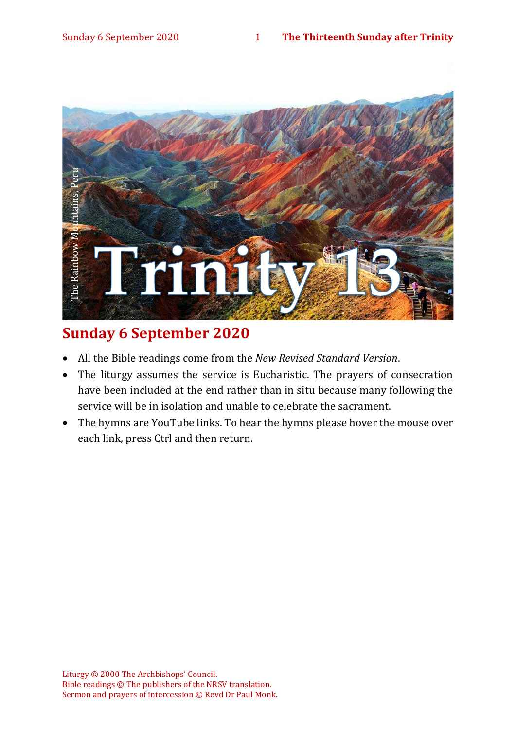

# **Sunday 6 September 2020**

- All the Bible readings come from the *New Revised Standard Version*.
- The liturgy assumes the service is Eucharistic. The prayers of consecration have been included at the end rather than in situ because many following the service will be in isolation and unable to celebrate the sacrament.
- The hymns are YouTube links. To hear the hymns please hover the mouse over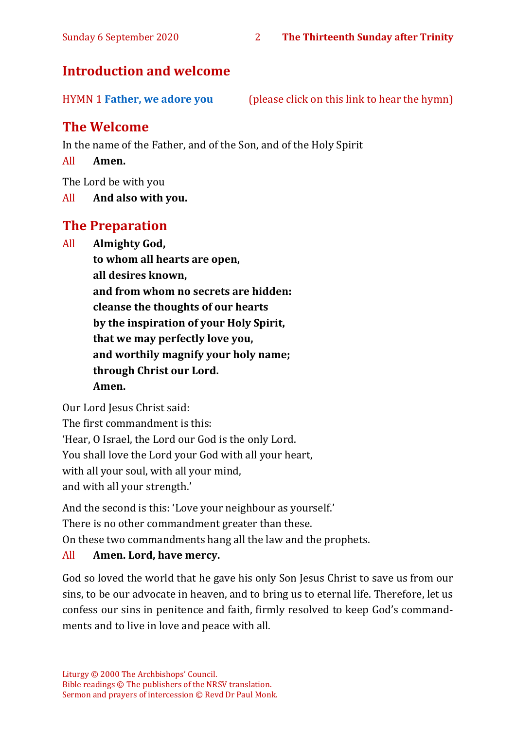# **Introduction and welcome**

HYMN 1 **[Father, we adore you](https://www.youtube.com/watch?v=PT8ee2hSd94)** (please click on this link to hear the hymn)

# **The Welcome**

In the name of the Father, and of the Son, and of the Holy Spirit

All **Amen.**

The Lord be with you

All **And also with you.**

# **The Preparation**

All **Almighty God,**

**to whom all hearts are open, all desires known, and from whom no secrets are hidden: cleanse the thoughts of our hearts by the inspiration of your Holy Spirit, that we may perfectly love you, and worthily magnify your holy name; through Christ our Lord. Amen.**

Our Lord Jesus Christ said:

The first commandment is this: 'Hear, O Israel, the Lord our God is the only Lord. You shall love the Lord your God with all your heart, with all your soul, with all your mind, and with all your strength.'

And the second is this: 'Love your neighbour as yourself.'

There is no other commandment greater than these.

On these two commandments hang all the law and the prophets.

#### All **Amen. Lord, have mercy.**

God so loved the world that he gave his only Son Jesus Christ to save us from our sins, to be our advocate in heaven, and to bring us to eternal life. Therefore, let us confess our sins in penitence and faith, firmly resolved to keep God's commandments and to live in love and peace with all.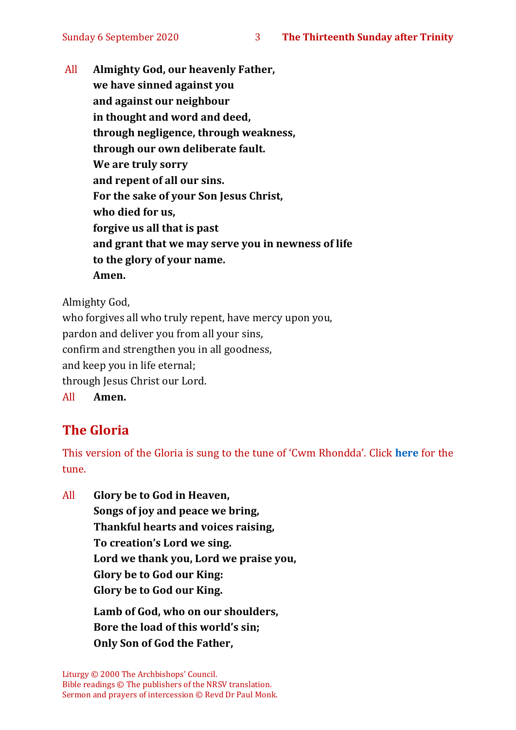All **Almighty God, our heavenly Father, we have sinned against you and against our neighbour in thought and word and deed, through negligence, through weakness, through our own deliberate fault. We are truly sorry and repent of all our sins. For the sake of your Son Jesus Christ, who died for us, forgive us all that is past and grant that we may serve you in newness of life to the glory of your name. Amen.**

Almighty God,

who forgives all who truly repent, have mercy upon you, pardon and deliver you from all your sins, confirm and strengthen you in all goodness, and keep you in life eternal; through Jesus Christ our Lord. All **Amen.**

# **The Gloria**

This version of the Gloria is sung to the tune of 'Cwm Rhondda'. Click **[here](about:blank)** for the tune.

All **Glory be to God in Heaven, Songs of joy and peace we bring, Thankful hearts and voices raising, To creation's Lord we sing. Lord we thank you, Lord we praise you, Glory be to God our King: Glory be to God our King.**

> **Lamb of God, who on our shoulders, Bore the load of this world's sin; Only Son of God the Father,**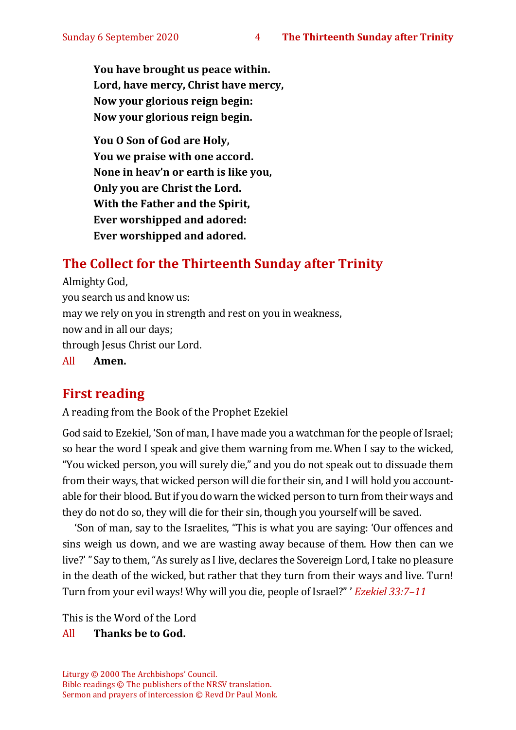**You have brought us peace within. Lord, have mercy, Christ have mercy, Now your glorious reign begin: Now your glorious reign begin.**

**You O Son of God are Holy, You we praise with one accord. None in heav'n or earth is like you, Only you are Christ the Lord. With the Father and the Spirit, Ever worshipped and adored: Ever worshipped and adored.**

# **The Collect for the Thirteenth Sunday after Trinity**

Almighty God, you search us and know us: may we rely on you in strength and rest on you in weakness, now and in all our days; through Jesus Christ our Lord. All **Amen.**

# **First reading**

A reading from the Book of the Prophet Ezekiel

God said to Ezekiel, 'Son of man, I have made you a watchman for the people of Israel; so hear the word I speak and give them warning from me.When I say to the wicked, "You wicked person, you will surely die," and you do not speak out to dissuade them from their ways, that wicked person will die for their sin, and I will hold you accountable for their blood. But if you do warn the wicked person to turn from their ways and they do not do so, they will die for their sin, though you yourself will be saved.

'Son of man, say to the Israelites, "This is what you are saying: 'Our offences and sins weigh us down, and we are wasting away because of them. How then can we live?'"Say to them, "As surely as I live, declares the Sovereign Lord, I take no pleasure in the death of the wicked, but rather that they turn from their ways and live. Turn! Turn from your evil ways! Why will you die, people of Israel?" ' *Ezekiel 33:7–11*

This is the Word of the Lord

#### All **Thanks be to God.**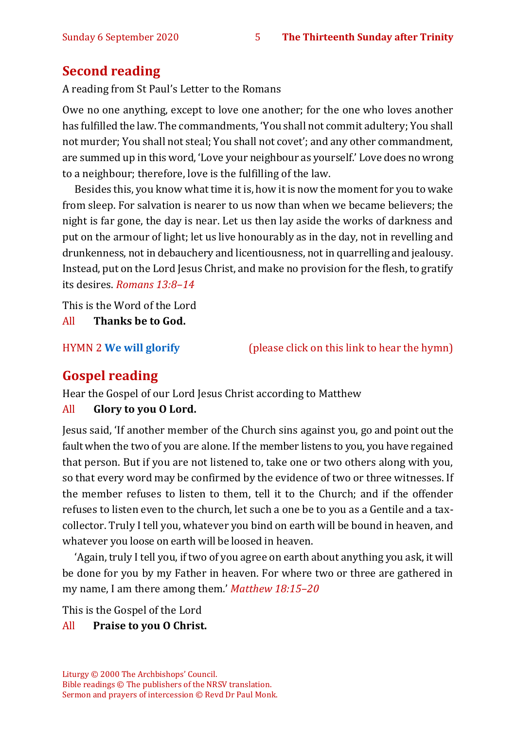# **Second reading**

A reading from St Paul's Letter to the Romans

Owe no one anything, except to love one another; for the one who loves another has fulfilled the law. The commandments, 'You shall not commit adultery; You shall not murder; You shall not steal; You shall not covet'; and any other commandment, are summed up in this word, 'Love your neighbour as yourself.' Love does no wrong to a neighbour; therefore, love is the fulfilling of the law.

Besides this, you know what time it is, how it is now the moment for you to wake from sleep. For salvation is nearer to us now than when we became believers; the night is far gone, the day is near. Let us then lay aside the works of darkness and put on the armour of light; let us live honourably as in the day, not in revelling and drunkenness, not in debauchery and licentiousness, not in quarrelling and jealousy. Instead, put on the Lord Jesus Christ, and make no provision for the flesh, to gratify its desires. *Romans 13:8–14*

This is the Word of the Lord

All **Thanks be to God.**

HYMN 2 **[We will glorify](https://www.youtube.com/watch?v=JjTi9S7hf18)** (please click on this link to hear the hymn)

# **Gospel reading**

Hear the Gospel of our Lord Jesus Christ according to Matthew

#### All **Glory to you O Lord.**

Jesus said, 'If another member of the Church sins against you, go and point out the fault when the two of you are alone. If the member listens to you, you have regained that person. But if you are not listened to, take one or two others along with you, so that every word may be confirmed by the evidence of two or three witnesses. If the member refuses to listen to them, tell it to the Church; and if the offender refuses to listen even to the church, let such a one be to you as a Gentile and a taxcollector. Truly I tell you, whatever you bind on earth will be bound in heaven, and whatever you loose on earth will be loosed in heaven.

'Again, truly I tell you, if two of you agree on earth about anything you ask, it will be done for you by my Father in heaven. For where two or three are gathered in my name, I am there among them.' *Matthew 18:15–20*

This is the Gospel of the Lord

#### All **Praise to you O Christ.**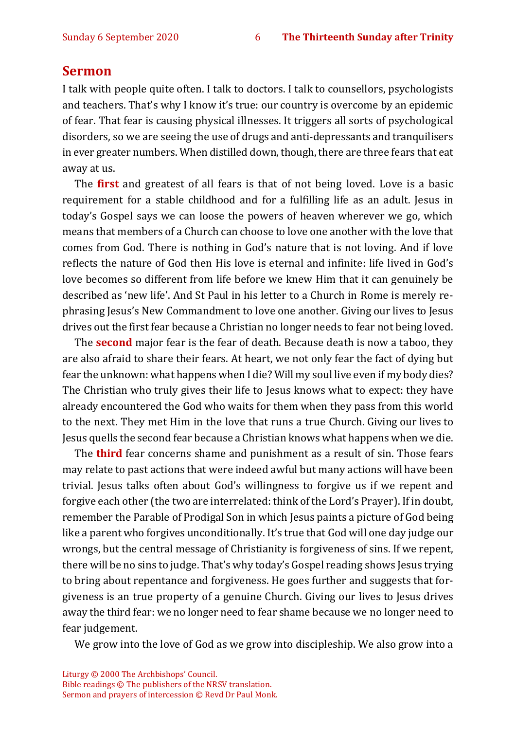#### **Sermon**

I talk with people quite often. I talk to doctors. I talk to counsellors, psychologists and teachers. That's why I know it's true: our country is overcome by an epidemic of fear. That fear is causing physical illnesses. It triggers all sorts of psychological disorders, so we are seeing the use of drugs and anti-depressants and tranquilisers in ever greater numbers. When distilled down, though, there are three fears that eat away at us.

The **first** and greatest of all fears is that of not being loved. Love is a basic requirement for a stable childhood and for a fulfilling life as an adult. Jesus in today's Gospel says we can loose the powers of heaven wherever we go, which means that members of a Church can choose to love one another with the love that comes from God. There is nothing in God's nature that is not loving. And if love reflects the nature of God then His love is eternal and infinite: life lived in God's love becomes so different from life before we knew Him that it can genuinely be described as 'new life'. And St Paul in his letter to a Church in Rome is merely rephrasing Jesus's New Commandment to love one another. Giving our lives to Jesus drives out the first fear because a Christian no longer needs to fear not being loved.

The **second** major fear is the fear of death. Because death is now a taboo, they are also afraid to share their fears. At heart, we not only fear the fact of dying but fear the unknown: what happens when I die? Will my soul live even if my body dies? The Christian who truly gives their life to Jesus knows what to expect: they have already encountered the God who waits for them when they pass from this world to the next. They met Him in the love that runs a true Church. Giving our lives to Jesus quells the second fear because a Christian knows what happens when we die.

The **third** fear concerns shame and punishment as a result of sin. Those fears may relate to past actions that were indeed awful but many actions will have been trivial. Jesus talks often about God's willingness to forgive us if we repent and forgive each other (the two are interrelated: think of the Lord's Prayer). If in doubt, remember the Parable of Prodigal Son in which Jesus paints a picture of God being like a parent who forgives unconditionally. It's true that God will one day judge our wrongs, but the central message of Christianity is forgiveness of sins. If we repent, there will be no sins to judge. That's why today's Gospel reading shows Jesus trying to bring about repentance and forgiveness. He goes further and suggests that forgiveness is an true property of a genuine Church. Giving our lives to Jesus drives away the third fear: we no longer need to fear shame because we no longer need to fear judgement.

We grow into the love of God as we grow into discipleship. We also grow into a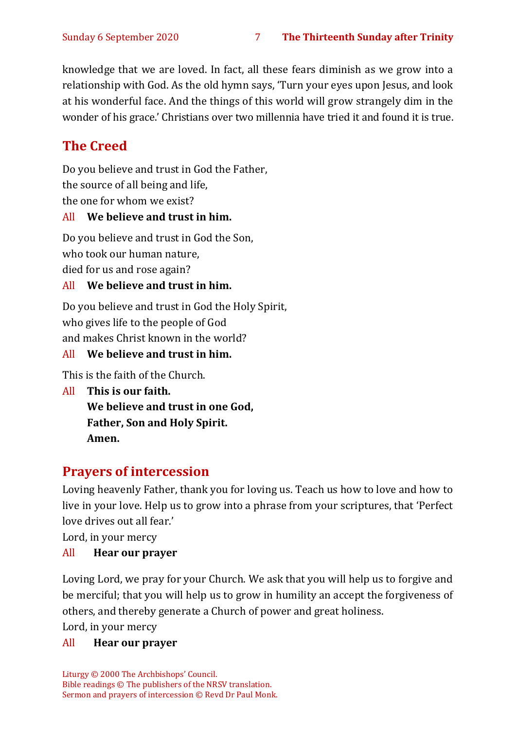knowledge that we are loved. In fact, all these fears diminish as we grow into a relationship with God. As the old hymn says, 'Turn your eyes upon Jesus, and look at his wonderful face. And the things of this world will grow strangely dim in the wonder of his grace.' Christians over two millennia have tried it and found it is true.

# **The Creed**

Do you believe and trust in God the Father,

the source of all being and life,

the one for whom we exist?

#### All **We believe and trust in him.**

Do you believe and trust in God the Son, who took our human nature, died for us and rose again?

#### All **We believe and trust in him.**

Do you believe and trust in God the Holy Spirit, who gives life to the people of God and makes Christ known in the world?

#### All **We believe and trust in him.**

This is the faith of the Church.

All **This is our faith. We believe and trust in one God, Father, Son and Holy Spirit. Amen.**

# **Prayers of intercession**

Loving heavenly Father, thank you for loving us. Teach us how to love and how to live in your love. Help us to grow into a phrase from your scriptures, that 'Perfect love drives out all fear.'

Lord, in your mercy

#### All **Hear our prayer**

Loving Lord, we pray for your Church. We ask that you will help us to forgive and be merciful; that you will help us to grow in humility an accept the forgiveness of others, and thereby generate a Church of power and great holiness.

Lord, in your mercy

#### All **Hear our prayer**

Liturgy © 2000 The Archbishops' Council. Bible readings © The publishers of the NRSV translation. Sermon and prayers of intercession © Revd Dr Paul Monk.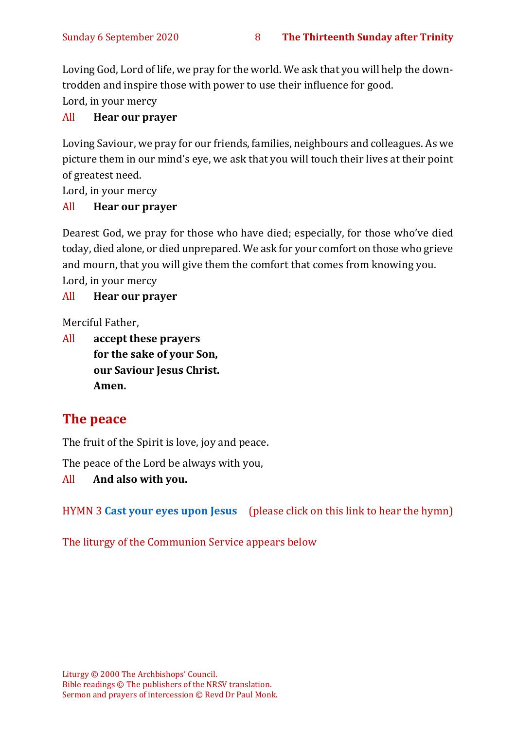Loving God, Lord of life, we pray for the world. We ask that you will help the downtrodden and inspire those with power to use their influence for good. Lord, in your mercy

#### All **Hear our prayer**

Loving Saviour, we pray for our friends, families, neighbours and colleagues. As we picture them in our mind's eye, we ask that you will touch their lives at their point of greatest need.

Lord, in your mercy

#### All **Hear our prayer**

Dearest God, we pray for those who have died; especially, for those who've died today, died alone, or died unprepared. We ask for your comfort on those who grieve and mourn, that you will give them the comfort that comes from knowing you. Lord, in your mercy

#### All **Hear our prayer**

Merciful Father,

All **accept these prayers for the sake of your Son, our Saviour Jesus Christ. Amen.**

# **The peace**

The fruit of the Spirit is love, joy and peace.

The peace of the Lord be always with you,

#### All **And also with you.**

HYMN 3 **[Cast your eyes upon Jesus](https://www.youtube.com/watch?v=eg4emf9xc2c)** (please click on this link to hear the hymn)

The liturgy of the Communion Service appears below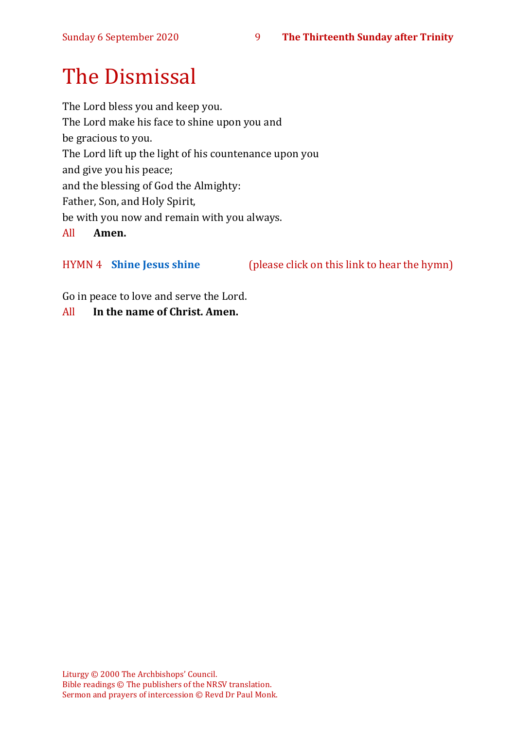# The Dismissal

The Lord bless you and keep you. The Lord make his face to shine upon you and be gracious to you. The Lord lift up the light of his countenance upon you and give you his peace; and the blessing of God the Almighty: Father, Son, and Holy Spirit, be with you now and remain with you always. All **Amen.**

HYMN 4 **[Shine Jesus shine](https://youtu.be/7OIwSQmyCg4)** (please click on this link to hear the hymn)

Go in peace to love and serve the Lord.

All **In the name of Christ. Amen.**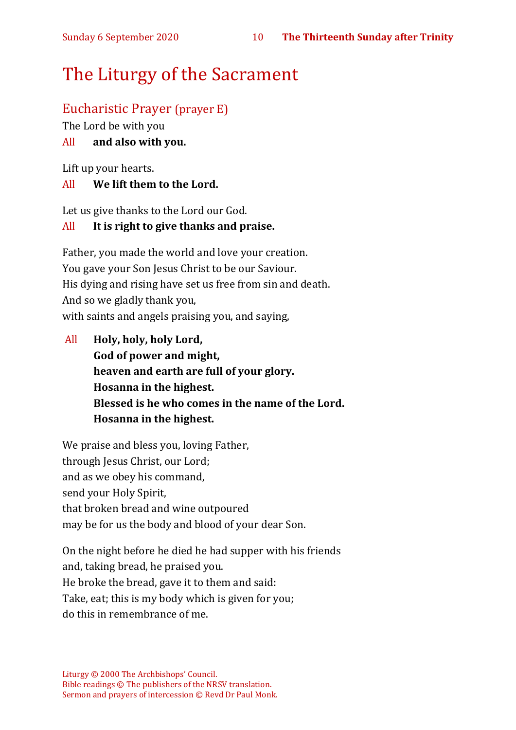# The Liturgy of the Sacrament

# Eucharistic Prayer (prayer E)

The Lord be with you

### All **and also with you.**

Lift up your hearts.

#### All **We lift them to the Lord.**

Let us give thanks to the Lord our God.

#### All **It is right to give thanks and praise.**

Father, you made the world and love your creation. You gave your Son Jesus Christ to be our Saviour. His dying and rising have set us free from sin and death. And so we gladly thank you, with saints and angels praising you, and saying,

All **Holy, holy, holy Lord, God of power and might, heaven and earth are full of your glory. Hosanna in the highest. Blessed is he who comes in the name of the Lord. Hosanna in the highest.**

We praise and bless you, loving Father, through Jesus Christ, our Lord; and as we obey his command, send your Holy Spirit, that broken bread and wine outpoured may be for us the body and blood of your dear Son.

On the night before he died he had supper with his friends and, taking bread, he praised you. He broke the bread, gave it to them and said: Take, eat; this is my body which is given for you; do this in remembrance of me.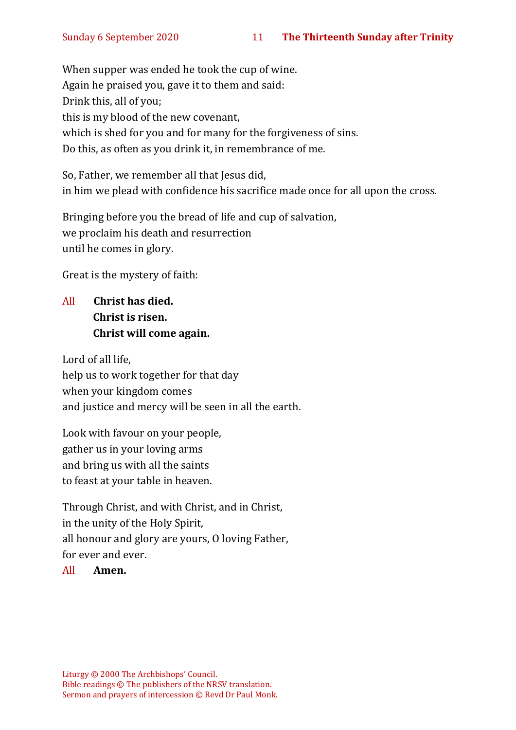When supper was ended he took the cup of wine. Again he praised you, gave it to them and said: Drink this, all of you; this is my blood of the new covenant, which is shed for you and for many for the forgiveness of sins. Do this, as often as you drink it, in remembrance of me.

So, Father, we remember all that Jesus did, in him we plead with confidence his sacrifice made once for all upon the cross.

Bringing before you the bread of life and cup of salvation, we proclaim his death and resurrection until he comes in glory.

Great is the mystery of faith:

All **Christ has died. Christ is risen. Christ will come again.**

Lord of all life, help us to work together for that day when your kingdom comes and justice and mercy will be seen in all the earth.

Look with favour on your people, gather us in your loving arms and bring us with all the saints to feast at your table in heaven.

Through Christ, and with Christ, and in Christ, in the unity of the Holy Spirit, all honour and glory are yours, O loving Father, for ever and ever.

#### All **Amen.**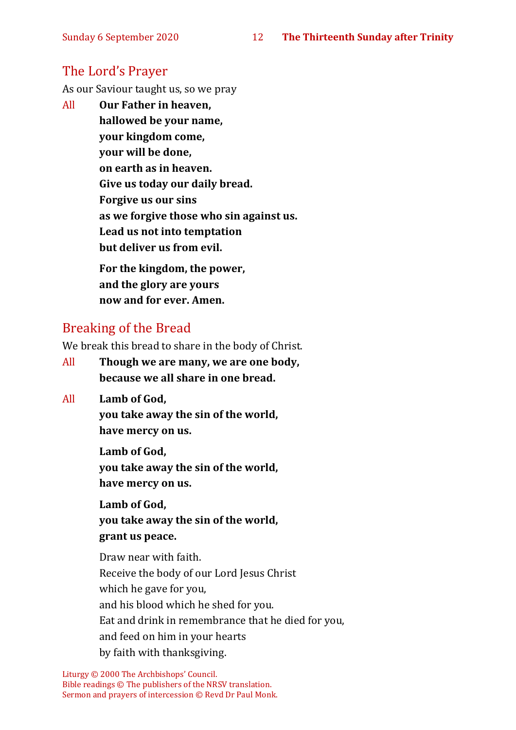# The Lord's Prayer

As our Saviour taught us, so we pray

All **Our Father in heaven, hallowed be your name, your kingdom come, your will be done, on earth as in heaven. Give us today our daily bread. Forgive us our sins as we forgive those who sin against us. Lead us not into temptation but deliver us from evil. For the kingdom, the power,** 

**and the glory are yours now and for ever. Amen.**

# Breaking of the Bread

We break this bread to share in the body of Christ.

- All **Though we are many, we are one body, because we all share in one bread.**
- All **Lamb of God,**

**you take away the sin of the world, have mercy on us.**

**Lamb of God, you take away the sin of the world, have mercy on us.**

**Lamb of God, you take away the sin of the world, grant us peace.**

Draw near with faith. Receive the body of our Lord Jesus Christ which he gave for you, and his blood which he shed for you. Eat and drink in remembrance that he died for you, and feed on him in your hearts by faith with thanksgiving.